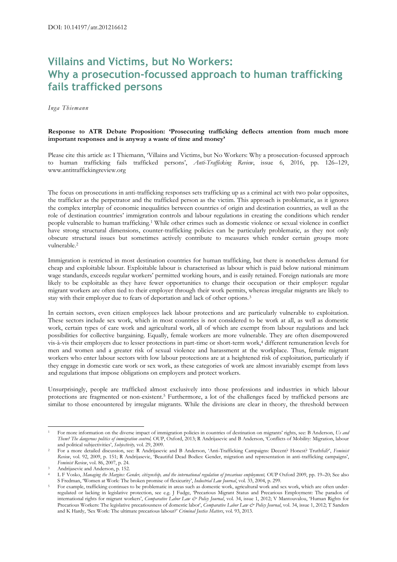## **Villains and Victims, but No Workers: Why a prosecution-focussed approach to human trafficking fails trafficked persons**

*Inga Thiemann*

## **Response to ATR Debate Proposition: 'Prosecuting trafficking deflects attention from much more important responses and is anyway a waste of time and money'**

Please cite this article as: I Thiemann, 'Villains and Victims, but No Workers: Why a prosecution-focussed approach to human trafficking fails trafficked persons', *Anti-Trafficking Review*, issue 6, 2016, pp. 126–129, www.antitraffickingreview.org

The focus on prosecutions in anti-trafficking responses sets trafficking up as a criminal act with two polar opposites, the trafficker as the perpetrator and the trafficked person as the victim. This approach is problematic, as it ignores the complex interplay of economic inequalities between countries of origin and destination countries, as well as the role of destination countries' immigration controls and labour regulations in creating the conditions which render people vulnerable to human trafficking.<sup>1</sup> While other crimes such as domestic violence or sexual violence in conflict have strong structural dimensions, counter-trafficking policies can be particularly problematic, as they not only obscure structural issues but sometimes actively contribute to measures which render certain groups more vulnerable.<sup>2</sup>

Immigration is restricted in most destination countries for human trafficking, but there is nonetheless demand for cheap and exploitable labour. Exploitable labour is characterised as labour which is paid below national minimum wage standards, exceeds regular workers' permitted working hours, and is easily retained. Foreign nationals are more likely to be exploitable as they have fewer opportunities to change their occupation or their employer: regular migrant workers are often tied to their employer through their work permits, whereas irregular migrants are likely to stay with their employer due to fears of deportation and lack of other options.<sup>3</sup>

In certain sectors, even citizen employees lack labour protections and are particularly vulnerable to exploitation. These sectors include sex work, which in most countries is not considered to be work at all, as well as domestic work, certain types of care work and agricultural work, all of which are exempt from labour regulations and lack possibilities for collective bargaining. Equally, female workers are more vulnerable. They are often disempowered vis-à-vis their employers due to lesser protections in part-time or short-term work,<sup>4</sup> different remuneration levels for men and women and a greater risk of sexual violence and harassment at the workplace. Thus, female migrant workers who enter labour sectors with low labour protections are at a heightened risk of exploitation, particularly if they engage in domestic care work or sex work, as these categories of work are almost invariably exempt from laws and regulations that impose obligations on employers and protect workers.

Unsurprisingly, people are trafficked almost exclusively into those professions and industries in which labour protections are fragmented or non-existent.<sup>5</sup> Furthermore, a lot of the challenges faced by trafficked persons are similar to those encountered by irregular migrants. While the divisions are clear in theory, the threshold between

<sup>1</sup> <sup>1</sup> For more information on the diverse impact of immigration policies in countries of destination on migrants' rights, see: B Anderson, *Us and Them? The dangerous politics of immigration control,* OUP, Oxford, 2013; R Andrijasevic and B Anderson, 'Conflicts of Mobility: Migration, labour and political subjectivities', *Subjectivity,* vol. 29, 2009.

<sup>2</sup> For a more detailed discussion, see: R Andrijasevic and B Anderson, 'Anti-Trafficking Campaigns: Decent? Honest? Truthful?', *Feminist Review*, vol. 92, 2009, p. 151; R Andrijasevic, 'Beautiful Dead Bodies: Gender, migration and representation in anti-trafficking campaigns', *Feminist Review*, vol. 86, 2007, p. 24.

Andrijasevic and Anderson, p. 152.

<sup>4</sup> L F Vosko, *Managing the Margins: Gender, citizenship, and the international regulation of precarious employment,* OUP Oxford 2009, pp. 19–20; See also S Fredman, 'Women at Work: The broken promise of flexicurity', *Industrial Law Journal*, vol. 33, 2004, p. 299.

<sup>5</sup> For example, trafficking continues to be problematic in areas such as domestic work, agricultural work and sex work, which are often underregulated or lacking in legislative protection, see e.g. J Fudge, 'Precarious Migrant Status and Precarious Employment: The paradox of international rights for migrant workers', *Comparative Labor Law & Policy Journal*, vol. 34, issue 1, 2012; V Mantouvalou, 'Human Rights for Precarious Workers: The legislative precariousness of domestic labor', *Comparative Labor Law & Policy Journal*, vol. 34, issue 1, 2012; T Sanders and K Hardy, 'Sex Work: The ultimate precarious labour?' *Criminal Justice Matters*, vol. 93, 2013.